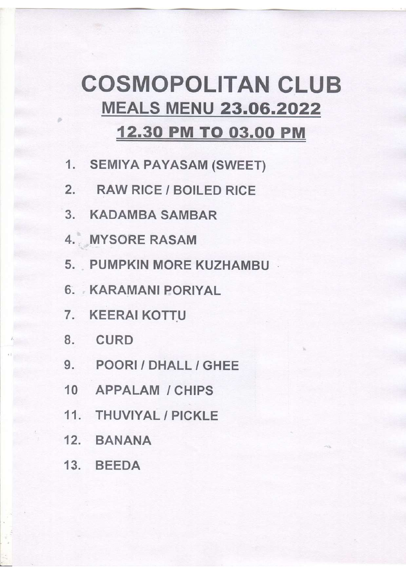## **COSMOPOLITAN CLUB MEALS MENU 23.06.2022 12.30 PM TO 03.00 PM**

- 1. SEMIYA PAYASAM (SWEET)
- 2. RAW RICE / BOILED RICE
- 3. KADAMBA SAMBAR
- 4. MYSORE RASAM
- 5. PUMPKIN MORE KUZHAMBU
- 6. KARAMANI PORIYAL
- 7. KEERAI KOTTU
- 8. CURD
- 9. POORI / DHALL / GHEE
- 10 APPALAM / CHIPS
- 11. THUVIYAL / PICKLE
- 12. BANANA
- 13. BEEDA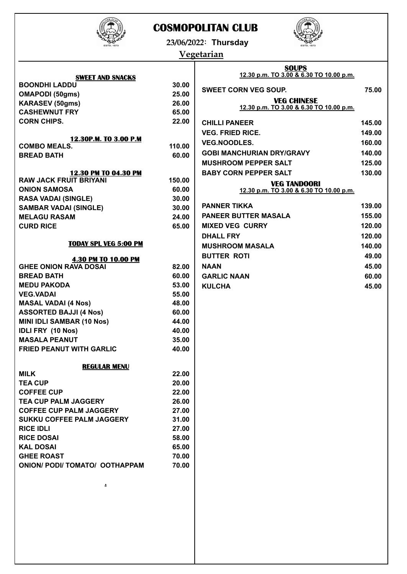

## **COSMOPOLITAN CLUB**



**23/06/2022: Thursday**

## **Vegetarian**

|                                              |        | <b>SOUPS</b>                                                  |        |  |
|----------------------------------------------|--------|---------------------------------------------------------------|--------|--|
| <b>SWEET AND SNACKS</b>                      |        | 12.30 p.m. TO 3.00 & 6.30 TO 10.00 p.m.                       |        |  |
| <b>BOONDHI LADDU</b>                         | 30.00  | <b>SWEET CORN VEG SOUP.</b>                                   | 75.00  |  |
| <b>OMAPODI (50gms)</b>                       | 25.00  |                                                               |        |  |
| <b>KARASEV (50gms)</b>                       | 26.00  | <b>VEG CHINESE</b><br>12.30 p.m. TO 3.00 & 6.30 TO 10.00 p.m. |        |  |
| <b>CASHEWNUT FRY</b>                         | 65.00  |                                                               |        |  |
| <b>CORN CHIPS.</b>                           | 22.00  | <b>CHILLI PANEER</b>                                          | 145.00 |  |
|                                              |        | <b>VEG. FRIED RICE.</b>                                       | 149.00 |  |
| 12.30P.M. TO 3.00 P.M<br><b>COMBO MEALS.</b> | 110.00 | <b>VEG.NOODLES.</b>                                           | 160.00 |  |
| <b>BREAD BATH</b>                            | 60.00  | <b>GOBI MANCHURIAN DRY/GRAVY</b>                              | 140.00 |  |
|                                              |        | <b>MUSHROOM PEPPER SALT</b>                                   | 125.00 |  |
| 12.30 PM TO 04.30 PM                         |        | <b>BABY CORN PEPPER SALT</b>                                  | 130.00 |  |
| <b>RAW JACK FRUIT BRIYANI</b>                | 150.00 | <b>VEG TANDOORI</b>                                           |        |  |
| <b>ONION SAMOSA</b>                          | 60.00  | 12.30 p.m. TO 3.00 & 6.30 TO 10.00 p.m.                       |        |  |
| <b>RASA VADAI (SINGLE)</b>                   | 30.00  |                                                               |        |  |
| <b>SAMBAR VADAI (SINGLE)</b>                 | 30.00  | <b>PANNER TIKKA</b>                                           | 139.00 |  |
| <b>MELAGU RASAM</b>                          | 24.00  | <b>PANEER BUTTER MASALA</b>                                   | 155.00 |  |
| <b>CURD RICE</b>                             | 65.00  | <b>MIXED VEG CURRY</b>                                        | 120.00 |  |
|                                              |        | <b>DHALL FRY</b>                                              | 120.00 |  |
| <b>TODAY SPL VEG 5:00 PM</b>                 |        | <b>MUSHROOM MASALA</b>                                        | 140.00 |  |
| <b>4.30 PM TO 10.00 PM</b>                   |        | <b>BUTTER ROTI</b>                                            | 49.00  |  |
| <b>GHEE ONION RAVA DOSAI</b>                 | 82.00  | <b>NAAN</b>                                                   | 45.00  |  |
| <b>BREAD BATH</b>                            | 60.00  | <b>GARLIC NAAN</b>                                            | 60.00  |  |
| <b>MEDU PAKODA</b>                           | 53.00  | <b>KULCHA</b>                                                 | 45.00  |  |
| <b>VEG.VADAI</b>                             | 55.00  |                                                               |        |  |
| <b>MASAL VADAI (4 Nos)</b>                   | 48.00  |                                                               |        |  |
| <b>ASSORTED BAJJI (4 Nos)</b>                | 60.00  |                                                               |        |  |
| <b>MINI IDLI SAMBAR (10 Nos)</b>             | 44.00  |                                                               |        |  |
| <b>IDLI FRY (10 Nos)</b>                     | 40.00  |                                                               |        |  |
| <b>MASALA PEANUT</b>                         | 35.00  |                                                               |        |  |
| <b>FRIED PEANUT WITH GARLIC</b>              | 40.00  |                                                               |        |  |
|                                              |        |                                                               |        |  |
| <b>REGULAR MENU</b><br><b>MILK</b>           | 22.00  |                                                               |        |  |
| <b>TEA CUP</b>                               | 20.00  |                                                               |        |  |
| <b>COFFEE CUP</b>                            | 22.00  |                                                               |        |  |
| <b>TEA CUP PALM JAGGERY</b>                  | 26.00  |                                                               |        |  |
| <b>COFFEE CUP PALM JAGGERY</b>               | 27.00  |                                                               |        |  |
| SUKKU COFFEE PALM JAGGERY                    | 31.00  |                                                               |        |  |
| <b>RICE IDLI</b>                             | 27.00  |                                                               |        |  |
| <b>RICE DOSAI</b>                            | 58.00  |                                                               |        |  |
| <b>KAL DOSAI</b>                             | 65.00  |                                                               |        |  |
| <b>GHEE ROAST</b>                            | 70.00  |                                                               |        |  |
| <b>ONION/ PODI/ TOMATO/ OOTHAPPAM</b>        | 70.00  |                                                               |        |  |
|                                              |        |                                                               |        |  |
| 2                                            |        |                                                               |        |  |
|                                              |        |                                                               |        |  |
|                                              |        |                                                               |        |  |
|                                              |        |                                                               |        |  |
|                                              |        |                                                               |        |  |
|                                              |        |                                                               |        |  |
|                                              |        |                                                               |        |  |
|                                              |        |                                                               |        |  |
|                                              |        |                                                               |        |  |